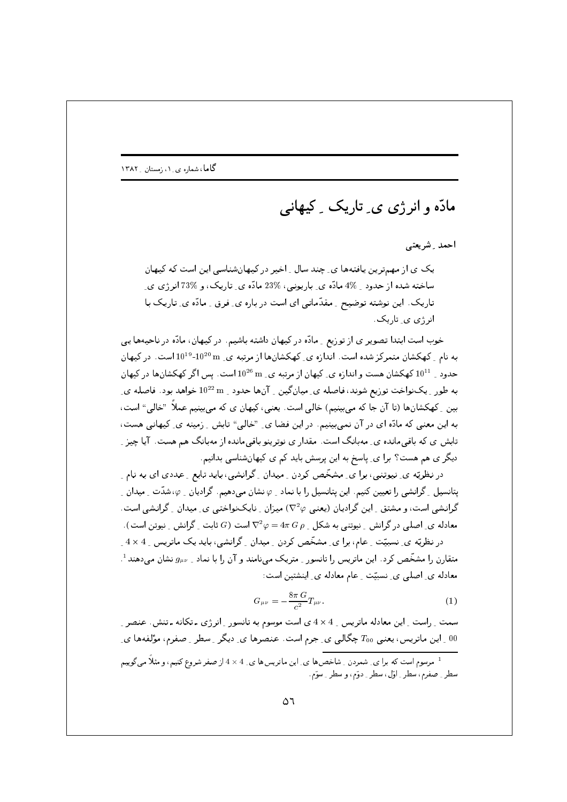## مادّه و انرژی ی ِ تاریک ِ کیهانے,

احمد \_ شريعتى

یک ی از مهمترین یافتهها ی چند سال ِ اخیر در کیهانشناسی این است که کیهان ساخته شده از حدود \_ 4% مادّه ي\_ پارپونې ، %23 مادّه ي\_ تاریک ، و %73 انر ژي ي\_ تاریک . این نوشته توضیح <sub>-</sub> مقدّماتی ای است در باره ی ِ فرق <sub>-</sub> مادّه ی ِ تاریک با انرژ*ی ی* تاریک.

خوب است ابتدا تصویر ی از توزیع \_ مادّه در کیهان داشته باشیم. در کیهان، مادّه در ناحیهها یی به نام ِ کهکشان متمرکز شده است. اندازه ی ِ کهکشانها از مرتبه ی ِ m 10<sup>20 و 101</sup>°10 است. در کیهان حدود به 10<sup>11</sup> کهکشان هست و اندازه ی کیهان از مرتبه ی M<sup>26</sup> m است. پس اگر کهکشان ها در کیهان به طور <sub>-</sub> یکنواخت توزیع شوند، فاصله ی ِ میانگین <sub>-</sub> آنها حدود <sub>-</sub> 10<sup>22</sup> خواهد بود. فاصله ی ِ بین ِ کهکشانها (تا آن جا که میبینیم) خالی است. یعنی، کیهان ی که میبینیم عملاً "خالی" است، به این معنی که مادّه ای در آن نمی،بینیم. در این فضا ی ِ "خالی" تابش ِ زمینه ی ِ کیهانی هست، تابش ی که باقی مانده ی ِ مهبانگ است. مقدار ی نوترینو باقی مانده از مهبانگ هم هست. آیا چیز ِ دیگر ی هم هست؟ برا ی ِ پاسخ به این پرسش باید کم ی کیهانشناسی بدانیم.

در نظریّه ی ِ نیوتنی، برا ی ِ مشخّص کردن ِ میدان ِ گرانشی، باید تابع ِ عددی ای به نام ِ یتانسیل <sub>۔</sub> گرانشی را تعیین کنیم. این پتانسیل را با نماد <sub>-</sub> c نشان میدهیم. گرادیان <sub>-</sub> c شدّت <sub>-</sub> میدان <sub>-</sub> گرانشی است، و مشتق ِ این گرادیان (یعنبی V°۷) میزان ِ نایکنواختبی ی ِ میدان ِ گرانشی است. معادله ی ِ اصلی در گرانش ِ نیوتنی به شکل ِ  $\pi\,G\,\rho$  = 4  $\nabla^2\varphi=0$ است  $G$  ثابت ِ گرانش ِ نیوتن است). در نظریّه ی ِ نسبیّت ِ عام، برا ی ِ مشخّص کردن ِ میدان ِ گرانشی، باید یک ماتریس ِ 4 × 4 ِ متقارن را مشخّص کرد. این ماتریس را تانسور <sub>-</sub> متریک مینامند و آن را با نماد <sub>- ۱</sub>۵ستان می دهند<sup>1</sup>.

معادله ی ِ اصلی ی ِ نسبیّت ِ عام معادله ی ِ اینشتین است:

$$
G_{\mu\nu} = -\frac{8\pi G}{c^2} T_{\mu\nu}.
$$
 (1)

سمت ِ راست ِ این معادله ماتریس ِ 4 × 4 ی است موسوم به تانسور ِ انرژی ـ تکانه ـ تنش. عنصر ِ ار این ماتریس، یعنی  $T_{00}$  چگالی ی ِ جرم است. عنصرها ی ِ دیگر ِ سطر ِ صفرم، مؤلفهها ی ِ  $00$ 

<sup>&</sup>lt;sup>1</sup> مرسوم است که برا ی ِ شمردن ِ شاخصها ی ِ این ماتریسها ی ِ 4 × 4 از صفر شروع کنیم، و مثلاً می گوییم سطر \_ صفرم، سطر \_ اوّل ، سطر \_ دوّم ، و سطر \_ سوّم .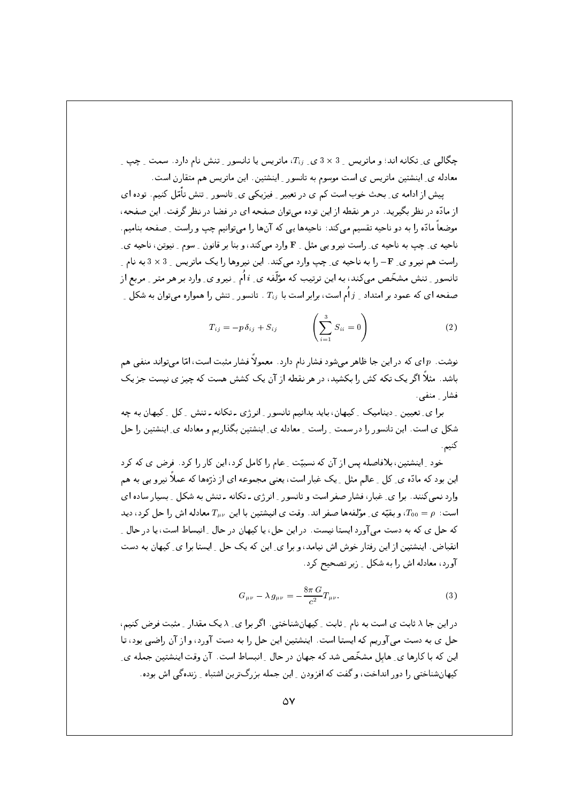چگالی ی ِ تکانه اند؛ و ماتریس 3 × 3 ی ـ  $T_{ij}$ ، ماتریس یا تانسور ـ تنش نام دارد. سمت ـ چپ ـ معادله ی ِ اینشتین ماتریس ی است موسوم به تانسور ِ اینشتین. این ماتریس هم متقارن است.

پیش از ادامه ی ِ بحث خوب است کم ی در تعبیر ِ فیزیکی ی ِ تانسور ِ ِ تنش تأمّل کنیم. توده ای از مادّه در نظر بگیرید. در هر نقطه از این توده میتوان صفحه ای در فضا در نظر گرفت. این صفحه، موضعاً مادّه را به دو ناحیه تقسیم می کند: ناحیهها یی که آنها را می توانیم چپ و راست \_ صفحه بنامیم. ناحیه ی ِ چپ به ناحیه ی ِ راست نیرو یپی مثل 1 F وارد میکند، و بنا بر قانون ـ سوم ـ نیوتن، ناحیه ی ِ راست هم نیرو ی ِ F- را به ناحیه ی ِ چپ وارد میکند. این نیروها را یک ماتریس ِ 3 × 3 به نام ِ تانسور ِ تنش مشخّص میکند، به این ترتیب که مؤلّفه ی ِ i اُم ِ نیرو ی ِ وارد بر هر متر ِ مربع از صفحه ای که عمود بر امتداد ِ  $j$  اُم است، برابر است با  $T_{ij}$  . تانسور ِ تنش را همواره میتوان به شکل ِ ِ

$$
T_{ij} = -p \,\delta_{ij} + S_{ij} \qquad \left(\sum_{i=1}^3 S_{ii} = 0\right) \qquad (2)
$$

نوشت.  $p$  ای که در این جا ظاهر میشود فشار نام دارد. معمولاً فشار مثبت است، امّا می تواند منفے ، هم باشد. مثلاً اگر یک تکه کش را بکشید، در هر نقطه از آن یک کشش هست که چیز ی نیست جز یک فشار \_ منفى .

برا ی ِ تعیین ِ دینامیک ِ کیهان، باید بدانیم تانسور ِ انرژی ـ تکانه ـ تنش ِ کل ِ کیهان به چه شکل ی است. این تانسور را در سمت ِ راست ِ معادله ی ِ اینشتین بگذاریم و معادله ی ِ اینشتین را حل کنيم .

خود ِ اینشتین، بلافاصله پس از آن که نسبیّت ِ عام را کامل کرد، این کار را کرد . فرض ی که کرد این بود که مادّه ی ِ کل ِ عالیم مثل ِ یک غبار است، یعنی مجموعه ای از ذرّهها که عملاً نیرویی به هم وارد نمی کنند. برا ی ِ غبار، فشار صفر است و تانسور ِ انرژی ـ تکانه ـ تنش به شکل ِ بسیار ساده ای است:  $\rho = T_{00} = \mu$ ، و بقیّه ی ِ مؤلفهها صفر اند. وقت ی انیشتین با این  $T_{\mu\nu}$  معادله اش را حل کرد، دید که حل ی که به دست می آورد ایستا نیست. در این حل، یا کیهان در حال ِ انبساط است، یا در حال ِ ِ انقباض. اینشتین از این رفتار خوش اش نیامد، و برا ی ِ این که یک حل ِ ایستا برا ی ِ کیهان به دست آورد، معادله اش را به شکل \_ زير تصحيح کرد.

$$
G_{\mu\nu} - \lambda g_{\mu\nu} = -\frac{8\pi G}{c^2} T_{\mu\nu}.
$$
 (3)

در این جا ۸ ثابت ی است به نام ِ ثابت ِ کیهانشناختی . اگر برا ی ِ ۸ یک مقدار ِ مثبت فرض کنیم، حل ي به دست مي آوريم كه ايستا است. اينشتين اين حل را به دست آورد، و از آن راضي بود، تا این که با کارها ی ِ هابل مشخّص شد که جهان در حال ِ انبساط است. آن وقت اینشتین جمله ی ِ کیهان شناختی را دور انداخت، و گفت که افزودن به این جمله بزرگ ترین اشتباه به زنده گی اش بوده.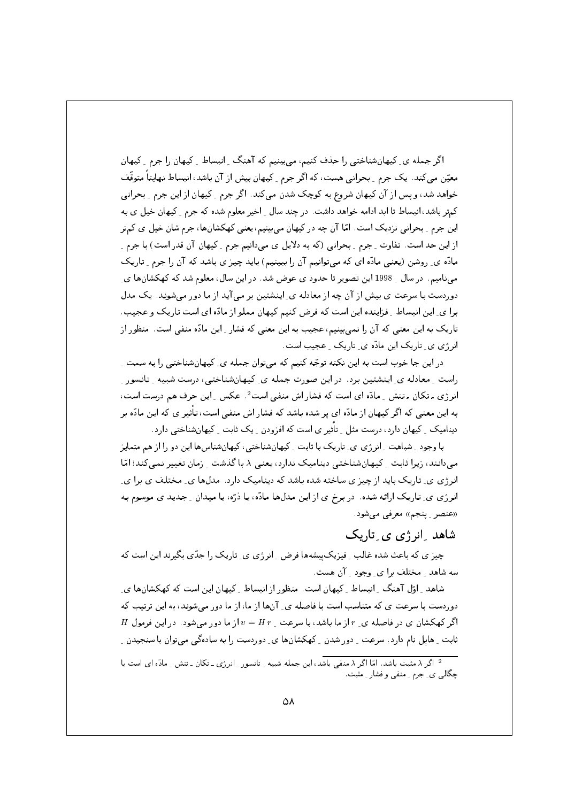اگر جمله ی ِ کیهانشناختی را حذف کنیم، می بینیم که آهنگ ِ انبساط ِ کیهان را جرم ِ کیهان معیّن میکند. یک جرم ِ بحرانی هست، که اگر جرم ِ کیهان بیش از آن باشد، انبساط نهایتاً متوقّف خواهد شد، و پس از آن کیهان شروع به کوچک شدن میکند. اگر جرم \_ کیهان از این جرم \_ بحرانی کمتر باشد، انبساط تا ابد ادامه خواهد داشت. در چند سال 1 اخیر معلوم شده که جرم 5 کیهان خیل ی به این جرم ِ بحرانی نزدیک است. امّا آن چه در کیهان می بینیم، یعنی کهکشانها، جرم شان خیل ی کمتر از این حد است. تفاوت ِ جرم ِ بحرانی (که به دلایل ی میدانیم جرم ِ کیهان آن قدر است) با جرم ِ مادّه ی ِ روشن (یعنبی مادّه ای که میتوانیم آن را ببینیم) باید چیز ی باشد که آن را جرم ِ تاریک می نامیم. در سال \_ 1998 این تصویر تا حدود ی عوض شد. در این سال، معلوم شد که کهکشانها ی ِ دوردست با سرعت ي بيش از آن چه از معادله ي ِ اينشتين بر مي آيد از ما دور ميشوند. يک مدل برا ي ِ اين انبساط ِ فزاينده اين است كه فرض كنيم كيهان مملو از مادّه اي است تاريك و عجيب. تاریک به این معنی که آن را نمی بینیم، عجیب به این معنی که فشار ِ این مادّه منفی است. منظور از انرژی ی ِ تاریک این مادّہ ی ِ تاریک ِ عجیب است.

در این جا خوب است به این نکته توجّه کنیم که می;توان جمله ی ِ کیهانشناختی را به سمت ِ راست \_ معادله ي\_ اينشتين برد . در اين صورت جمله ي\_ كيهانشناختي، درست شبيه \_ تانسور \_ ائر ژی ۔تکان ۔تنش ِ مادّہ ای است که فشار اش منفی است<sup>2</sup>. عکس ِ اپن حرف هم درست است، به این معنی که اگر کیهان از مادّه ای پر شده باشد که فشار اش منفی است، تأثیر ی که این مادّه بر دینامیک ِ ِ کیهان دارد، درست مثل ِ تأثیر ی است که افزودن ِ یک ثابت ِ ِ کیهانشناختی دارد.

با وجود ِ شباهت ِ انرژی ی ِ تاریک با ثابت ِ کیهانشناختی، کیهانشناسها این دو را از هم متمایز مے،دانند، زیرا ثابت ِ کیھانشناختی دینامیک ندارد، یعنی ۸ با گذشت ِ زمان تغییر نمی کند؛ امّا انرژی ی ِ تاریک باید از چیز ی ساخته شده باشد که دینامیک دارد. مدلها ی ِ مختلف ی برا ی ِ انرژی ی ِ تاریک ارائه شده. در برخ ی از این مدلها مادّه، یا ذرّه، یا میدان ِ جدید ی موسوم به «عنصر <sub>-</sub> پنجم» معرفی می شود.

## شاهد ِانرژی ی ِتاریک

چیز ی که باعث شده غالب ِ فیزیک پیشهها فرض ِ انرژی ی ِ تاریک را جدّی بگیرند این است که سه شاهد \_ مختلف برا ی\_ وجود \_ آن هست.

شاهد ِ اوّل آهنگ ِ انبساط ِ کیهان است. منظور از انبساط ِ کیهان این است که کهکشانها یِ دوردست با سرعت ی که متناسب است با فاصله ی ِ آنها از ما، از ما دور می شوند، به این ترتیب که  $H$  اگر کهکشان ی در فاصله ی ِ r از ما باشد، با سرعت ِ r = H از ما دور میشود. در این فرمول ثابت ِ هابل نام دارد. سرعت ِ دورشدن ِ کهکشانها ی ِ دوردست را به سادهگی میتوان با سنجیدن ِ

<sup>۔&</sup>lt;br><sup>2</sup> اگر X مثبت باشد. امّا اگر X منفی باشد، این جمله شبیه ِ تانسور ِ انرژی ـ تکان ـ تنش ِ مادّه ای است با چگالی ی ِ جرم ِ منفی و فشار ِ مثبت.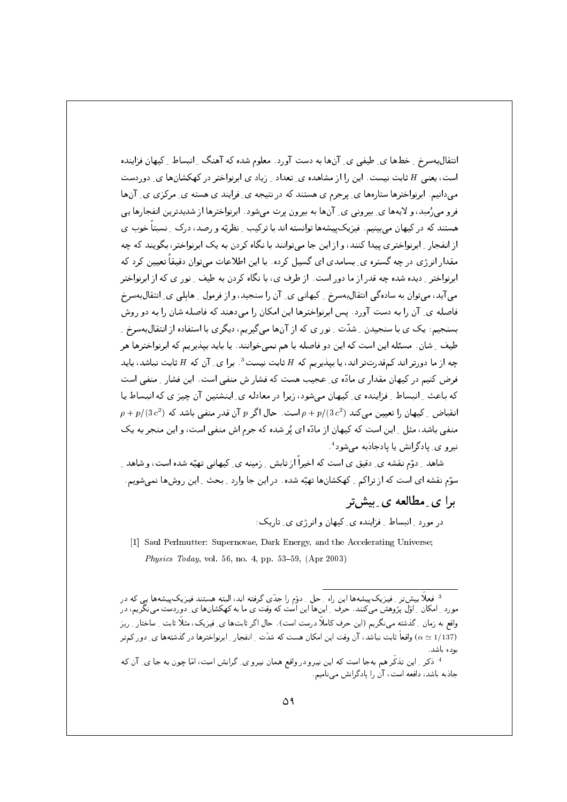انتقال به سرخ ِ خطها ی ِ طیفی ی ِ آنها به دست آورد. معلوم شده که آهنگ ِ انبساط ِ کیهان فزاینده است، یعنی H ثابت نیست. این را از مشاهده ی ِ تعداد ِ زیاد ی ابرنواختر در کهکشانها ی ِ دوردست می دانیم. ابرنواخترها ستارهها ی ِ پرجرم ی هستند که در نتیجه ی ِ فرایند ی هسته ی ِ مرکزی ی ِ آنها فرو می رُمبد، و لایهها ی ِ بیرونی ی ِ آنها به بیرون پرت میشود. ابرنواخترها از شدیدترین انفجارها یی هستند که در کیهان می بینیم. فیزیک پیشهها توانسته اند با ترکیب ِ نظریّه و رصد، درک ِ نسبتاً خوب ی از انفجار <sub>به ا</sub>برنواختری پیدا کنند، و از این جا می;توانند با نگاه کردن به یک ابرنواختر، بگویند که چه مقدار انرژی در چه گستره ی ِ بسامدی ای گسیل کرده. با این اطلاعات می توان دقیقاً تعیین کرد که ابرنواختر ِ دیده شده چه قدر از ما دور است. از طرف ی، با نگاه کردن به طیف ِ نور ی که از ابرنواختر می آید، میتوان به سادهگی انتقالبهسرخ \_ کیهانی ی\_ آن را سنجید، و از فرمول \_ هابلی ی\_ انتقالبهسرخ فاصله ی ِ آن را به دست آورد. پس ابرنواخترها این امکان را میدهند که فاصله شان را به دو روش بسنجیم: یک ی با سنجیدن ِ شدّت ِ نور ی که از آنها میگیریم، دیگری با استفاده از انتقال به سرخ ِ طیف ِ شان. مسئله این است که این دو فاصله با هم نمیخوانند. یا باید بیذیریم که ابرنواخترها هر چه از ما دورتر اند کمقدرتتر اند، یا بیذیریم که H ثابت نیست  $^3$ . برا ی ِ آن که H ثابت نباشد، باید فرض کنیم در کیهان مقدار ی مادّه ی ِ عجیب هست که فشار ش منفی است. این فشار ِ منفی است که باعث ِ انبساط ِ فزاینده ی ِ کیهان میشود، زیرا در معادله ی ِ اینشتین آن چیز ی که انبساط یا  $\rho + p/(3 c^2)$  انقباض که  $\rho = p/(3 c^2)$  است. حال اگر p آن قدر منفی باشد که  $\rho + p/(3 c^2)$ منفی باشد، مثل ِ این است که کیهان از مادّه ای پُر شده که جرم اش منفی است، و این منجر به یک نيرو ي ِ يادگرانش يا يادجاذبه مي شود <sup>4</sup>.

شاهد ِ دوّم نقشه ی ِ دقیق ی است که اخیراً از تابش ِ ِ زمینه ی ِ کیهانی تهیّه شده است، و شاهد ِ سوّم نقشه ای است که از تراکم <sub>-</sub> کهکشانها تهیّه شده . در این جا وارد <sub>-</sub> بحث <sub>-</sub> این روشها نمی شویم .

> برا ی مطالعه ی پیش تر در مورد ِ انبساط ِ ِ فزاینده ی ِ کیهان و انرژی ی ِ تاریک:

[1] Saul Perlmutter: Supernovae, Dark Energy, and the Accelerating Universe; *Physics Today*, vol. 56, no. 4, pp. 53-59,  $(Apr 2003)$ 

<sup>3</sup> فعلاً بیش تر <sub>ن</sub> فیزیک بیشهها این راه <sub>م</sub> حل <sub>م</sub> دوّم را جدّی گرفته اند، البته هستند فیزیک بیشهها پ*ی* که در مورد ِ امکان ِ اوّل پژوهش میکنند. حرف ِ اینها این است که وقت ی ما به کهکشانها ی ِ دوردست میںگریم، در واقع به زمان ِ گذشته می،نگریم (این حرف کاملاً درست است). حال اگر ثابتها ی ِ فیزیک، مثلاً ثابت ِ ساختار ِ ریز (1/137 ₪ واقعاً ثابت نباشد، آن وقت این امکان هست که شدّت ِ انفجار ِ ابرنواخترها در گذشتهها ي ِ دور کم تر بوده باشد.

<sup>4</sup> ذکر ِ این تذکّر هم بهجا است که این نیرو در واقع همان نیرو ی ِ گرانش است، امّا چون به جا ی ِ آن که جاذبه باشد، دافعه است، آن را پادگرانش می نامیم.